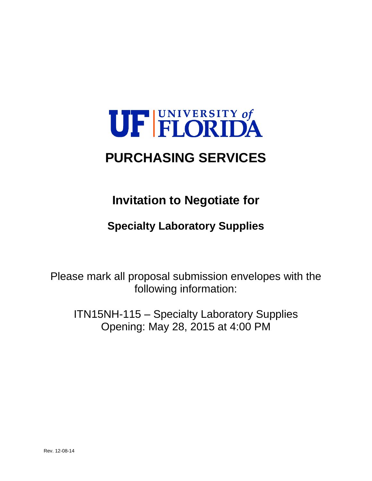# UF FLORIDA

# **PURCHASING SERVICES**

# **Invitation to Negotiate for**

# **Specialty Laboratory Supplies**

Please mark all proposal submission envelopes with the following information:

ITN15NH-115 – Specialty Laboratory Supplies Opening: May 28, 2015 at 4:00 PM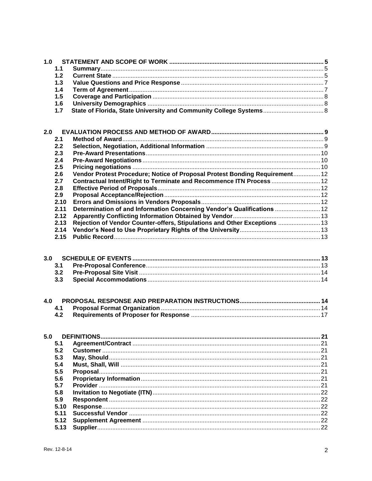| 1.0          |                                                                             |  |
|--------------|-----------------------------------------------------------------------------|--|
| 1.1          |                                                                             |  |
| 1.2          |                                                                             |  |
| 1.3          |                                                                             |  |
| 1.4          |                                                                             |  |
| 1.5          |                                                                             |  |
| 1.6          |                                                                             |  |
| 1.7          |                                                                             |  |
| 2.0          |                                                                             |  |
| 2.1          |                                                                             |  |
| 2.2          |                                                                             |  |
| 2.3          |                                                                             |  |
| 2.4          |                                                                             |  |
| 2.5          |                                                                             |  |
| 2.6          | Vendor Protest Procedure; Notice of Proposal Protest Bonding Requirement 12 |  |
| 2.7          | Contractual Intent/Right to Terminate and Recommence ITN Process  12        |  |
| 2.8          |                                                                             |  |
| 2.9          |                                                                             |  |
| 2.10         |                                                                             |  |
| 2.11         | Determination of and Information Concerning Vendor's Qualifications  12     |  |
| 2.12         |                                                                             |  |
| 2.13         | Rejection of Vendor Counter-offers, Stipulations and Other Exceptions  13   |  |
| 2.14<br>2.15 |                                                                             |  |
|              |                                                                             |  |
| 3.0          |                                                                             |  |
| 3.1          |                                                                             |  |
| 3.2          |                                                                             |  |
| 3.3          |                                                                             |  |
| 4.0          |                                                                             |  |
| 4.1          |                                                                             |  |
| 4.2          |                                                                             |  |
| 5.0          |                                                                             |  |
| 5.1          |                                                                             |  |
| 5.2          |                                                                             |  |
| 5.3          |                                                                             |  |
| 5.4          |                                                                             |  |
| 5.5          |                                                                             |  |
| 5.6          |                                                                             |  |
| 5.7          |                                                                             |  |
| 5.8          |                                                                             |  |
| 5.9          |                                                                             |  |
| 5.10         |                                                                             |  |
| 5.11<br>5.12 |                                                                             |  |
| 5.13         |                                                                             |  |
|              |                                                                             |  |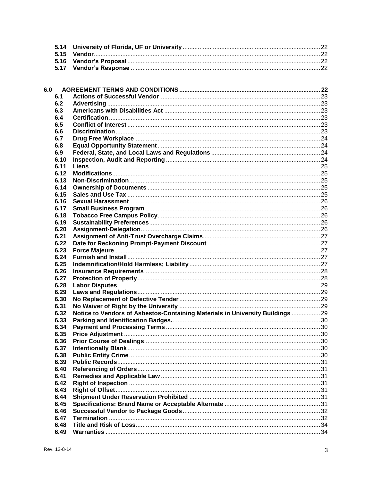| 6.0 |      |                                                                                |  |
|-----|------|--------------------------------------------------------------------------------|--|
|     | 6.1  |                                                                                |  |
|     | 6.2  |                                                                                |  |
|     | 6.3  |                                                                                |  |
|     | 6.4  |                                                                                |  |
|     | 6.5  |                                                                                |  |
|     | 6.6  |                                                                                |  |
|     | 6.7  |                                                                                |  |
|     | 6.8  |                                                                                |  |
|     | 6.9  |                                                                                |  |
|     | 6.10 |                                                                                |  |
|     | 6.11 |                                                                                |  |
|     | 6.12 |                                                                                |  |
|     | 6.13 |                                                                                |  |
|     | 6.14 |                                                                                |  |
|     | 6.15 |                                                                                |  |
|     | 6.16 |                                                                                |  |
|     | 6.17 |                                                                                |  |
|     | 6.18 |                                                                                |  |
|     | 6.19 |                                                                                |  |
|     | 6.20 |                                                                                |  |
|     | 6.21 |                                                                                |  |
|     | 6.22 |                                                                                |  |
|     | 6.23 |                                                                                |  |
|     | 6.24 |                                                                                |  |
|     | 6.25 |                                                                                |  |
|     | 6.26 |                                                                                |  |
|     | 6.27 |                                                                                |  |
|     | 6.28 |                                                                                |  |
|     | 6.29 |                                                                                |  |
|     | 6.30 |                                                                                |  |
|     | 6.31 |                                                                                |  |
|     | 6.32 | Notice to Vendors of Asbestos-Containing Materials in University Buildings  29 |  |
|     | 6.33 |                                                                                |  |
|     | 6.34 |                                                                                |  |
|     | 6.35 |                                                                                |  |
|     | 6.36 |                                                                                |  |
|     | 6.37 |                                                                                |  |
|     | 6.38 |                                                                                |  |
|     | 6.39 |                                                                                |  |
|     | 6.40 |                                                                                |  |
|     | 6.41 |                                                                                |  |
|     | 6.42 |                                                                                |  |
|     | 6.43 |                                                                                |  |
|     | 6.44 |                                                                                |  |
|     | 6.45 |                                                                                |  |
|     | 6.46 |                                                                                |  |
|     | 6.47 |                                                                                |  |
|     | 6.48 |                                                                                |  |
|     | 6.49 |                                                                                |  |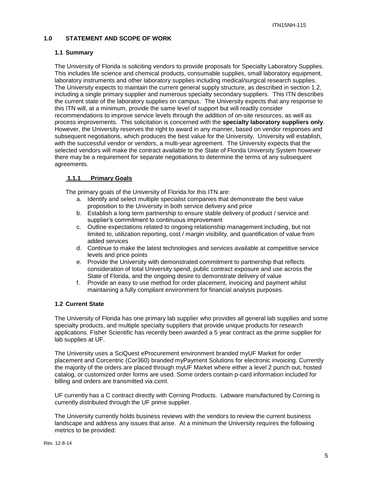# **1.0 STATEMENT AND SCOPE OF WORK**

#### **1.1 Summary**

The University of Florida is soliciting vendors to provide proposals for Specialty Laboratory Supplies. This includes life science and chemical products, consumable supplies, small laboratory equipment, laboratory instruments and other laboratory supplies including medical/surgical research supplies. The University expects to maintain the current general supply structure, as described in section 1.2, including a single primary supplier and numerous specialty secondary suppliers. This ITN describes the current state of the laboratory supplies on campus. The University expects that any response to this ITN will, at a minimum, provide the same level of support but will readily consider recommendations to improve service levels through the addition of on-site resources, as well as process improvements. This solicitation is concerned with the **specialty laboratory suppliers only**. However, the University reserves the right to award in any manner, based on vendor responses and subsequent negotiations, which produces the best value for the University. University will establish, with the successful vendor or vendors, a multi-year agreement. The University expects that the selected vendors will make the contract available to the State of Florida University System however there may be a requirement for separate negotiations to determine the terms of any subsequent agreements.

# **1.1.1 Primary Goals**

The primary goals of the University of Florida for this ITN are:

- a. Identify and select multiple specialist companies that demonstrate the best value proposition to the University in both service delivery and price
- b. Establish a long term partnership to ensure stable delivery of product / service and supplier's commitment to continuous improvement
- c. Outline expectations related to ongoing relationship management including, but not limited to, utilization reporting, cost / margin visibility, and quantification of value from added services
- d. Continue to make the latest technologies and services available at competitive service levels and price points
- e. Provide the University with demonstrated commitment to partnership that reflects consideration of total University spend, public contract exposure and use across the State of Florida, and the ongoing desire to demonstrate delivery of value
- f. Provide an easy to use method for order placement, invoicing and payment whilst maintaining a fully compliant environment for financial analysis purposes.

# **1.2 Current State**

The University of Florida has one primary lab supplier who provides all general lab supplies and some specialty products, and multiple specialty suppliers that provide unique products for research applications. Fisher Scientific has recently been awarded a 5 year contract as the prime supplier for lab supplies at UF.

The University uses a SciQuest eProcurement environment branded myUF Market for order placement and Corcentric (Cor360) branded myPayment Solutions for electronic invoicing. Currently the majority of the orders are placed through myUF Market where either a level 2 punch out, hosted catalog, or customized order forms are used. Some orders contain p-card information included for billing and orders are transmitted via cxml.

UF currently has a C contract directly with Corning Products. Labware manufactured by Corning is currently distributed through the UF prime supplier.

The University currently holds business reviews with the vendors to review the current business landscape and address any issues that arise. At a minimum the University requires the following metrics to be provided: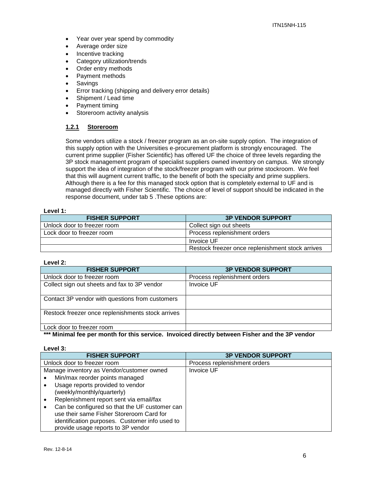- Year over year spend by commodity
- Average order size
- Incentive tracking
- Category utilization/trends
- Order entry methods
- Payment methods
- Savings
- **Error tracking (shipping and delivery error details)**
- Shipment / Lead time
- Payment timing
- Storeroom activity analysis

# **1.2.1 Storeroom**

Some vendors utilize a stock / freezer program as an on-site supply option. The integration of this supply option with the Universities e-procurement platform is strongly encouraged. The current prime supplier (Fisher Scientific) has offered UF the choice of three levels regarding the 3P stock management program of specialist suppliers owned inventory on campus. We strongly support the idea of integration of the stock/freezer program with our prime stockroom. We feel that this will augment current traffic, to the benefit of both the specialty and prime suppliers. Although there is a fee for this managed stock option that is completely external to UF and is managed directly with Fisher Scientific. The choice of level of support should be indicated in the response document, under tab 5 .These options are:

# **Level 1:**

| <b>FISHER SUPPORT</b>       | <b>3P VENDOR SUPPORT</b>                         |
|-----------------------------|--------------------------------------------------|
| Unlock door to freezer room | Collect sign out sheets                          |
| Lock door to freezer room   | Process replenishment orders                     |
|                             | Invoice UF                                       |
|                             | Restock freezer once replenishment stock arrives |

#### **Level 2:**

| <b>FISHER SUPPORT</b>                             | <b>3P VENDOR SUPPORT</b>     |
|---------------------------------------------------|------------------------------|
| Unlock door to freezer room                       | Process replenishment orders |
| Collect sign out sheets and fax to 3P vendor      | <b>Invoice UF</b>            |
| Contact 3P vendor with questions from customers   |                              |
| Restock freezer once replenishments stock arrives |                              |
| Lock door to freezer room                         |                              |

**\*\*\* Minimal fee per month for this service. Invoiced directly between Fisher and the 3P vendor**

**Level 3:**

| <b>FISHER SUPPORT</b>                          | <b>3P VENDOR SUPPORT</b>     |
|------------------------------------------------|------------------------------|
| Unlock door to freezer room                    | Process replenishment orders |
| Manage inventory as Vendor/customer owned      | Invoice UF                   |
| Min/max reorder points managed                 |                              |
| Usage reports provided to vendor               |                              |
| (weekly/monthly/quarterly)                     |                              |
| Replenishment report sent via email/fax        |                              |
| Can be configured so that the UF customer can  |                              |
| use their same Fisher Storeroom Card for       |                              |
| identification purposes. Customer info used to |                              |
| provide usage reports to 3P vendor             |                              |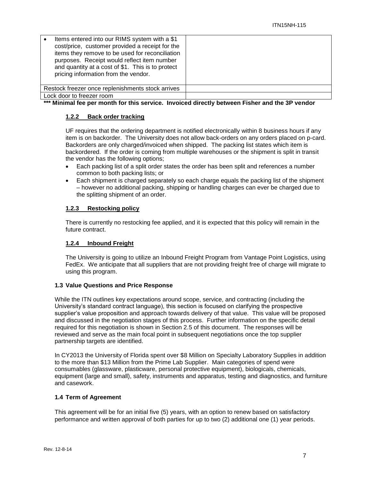| Items entered into our RIMS system with a \$1<br>cost/price, customer provided a receipt for the<br>items they remove to be used for reconciliation<br>purposes. Receipt would reflect item number<br>and quantity at a cost of \$1. This is to protect<br>pricing information from the vendor. |  |
|-------------------------------------------------------------------------------------------------------------------------------------------------------------------------------------------------------------------------------------------------------------------------------------------------|--|
| Restock freezer once replenishments stock arrives                                                                                                                                                                                                                                               |  |
| Lock door to freezer room                                                                                                                                                                                                                                                                       |  |

**\*\*\* Minimal fee per month for this service. Invoiced directly between Fisher and the 3P vendor**

# **1.2.2 Back order tracking**

UF requires that the ordering department is notified electronically within 8 business hours if any item is on backorder. The University does not allow back-orders on any orders placed on p-card. Backorders are only charged/invoiced when shipped. The packing list states which item is backordered. If the order is coming from multiple warehouses or the shipment is split in transit the vendor has the following options;

- Each packing list of a split order states the order has been split and references a number common to both packing lists; or
- Each shipment is charged separately so each charge equals the packing list of the shipment – however no additional packing, shipping or handling charges can ever be charged due to the splitting shipment of an order.

# **1.2.3 Restocking policy**

There is currently no restocking fee applied, and it is expected that this policy will remain in the future contract.

# **1.2.4 Inbound Freight**

The University is going to utilize an Inbound Freight Program from Vantage Point Logistics, using FedEx. We anticipate that all suppliers that are not providing freight free of charge will migrate to using this program.

#### **1.3 Value Questions and Price Response**

While the ITN outlines key expectations around scope, service, and contracting (including the University's standard contract language), this section is focused on clarifying the prospective supplier's value proposition and approach towards delivery of that value. This value will be proposed and discussed in the negotiation stages of this process. Further information on the specific detail required for this negotiation is shown in Section 2.5 of this document. The responses will be reviewed and serve as the main focal point in subsequent negotiations once the top supplier partnership targets are identified.

In CY2013 the University of Florida spent over \$8 Million on Specialty Laboratory Supplies in addition to the more than \$13 Million from the Prime Lab Supplier. Main categories of spend were consumables (glassware, plasticware, personal protective equipment), biologicals, chemicals, equipment (large and small), safety, instruments and apparatus, testing and diagnostics, and furniture and casework.

# **1.4 Term of Agreement**

This agreement will be for an initial five (5) years, with an option to renew based on satisfactory performance and written approval of both parties for up to two (2) additional one (1) year periods.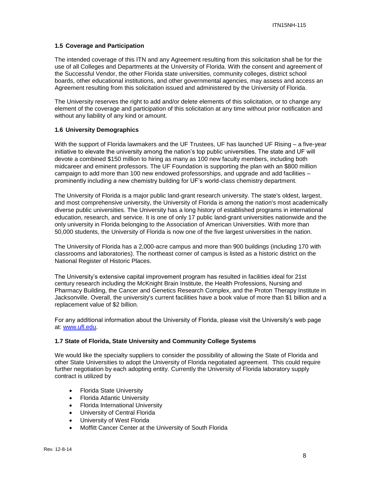#### **1.5 Coverage and Participation**

The intended coverage of this ITN and any Agreement resulting from this solicitation shall be for the use of all Colleges and Departments at the University of Florida. With the consent and agreement of the Successful Vendor, the other Florida state universities, community colleges, district school boards, other educational institutions, and other governmental agencies, may assess and access an Agreement resulting from this solicitation issued and administered by the University of Florida.

The University reserves the right to add and/or delete elements of this solicitation, or to change any element of the coverage and participation of this solicitation at any time without prior notification and without any liability of any kind or amount.

#### **1.6 University Demographics**

With the support of Florida lawmakers and the UF Trustees, UF has launched UF Rising – a five-year initiative to elevate the university among the nation's top public universities. The state and UF will devote a combined \$150 million to hiring as many as 100 new faculty members, including both midcareer and eminent professors. The UF Foundation is supporting the plan with an \$800 million campaign to add more than 100 new endowed professorships, and upgrade and add facilities – prominently including a new chemistry building for UF's world-class chemistry department.

The University of Florida is a major public land-grant research university. The state's oldest, largest, and most comprehensive university, the University of Florida is among the nation's most academically diverse public universities. The University has a long history of established programs in international education, research, and service. It is one of only 17 public land-grant universities nationwide and the only university in Florida belonging to the Association of American Universities. With more than 50,000 students, the University of Florida is now one of the five largest universities in the nation.

The University of Florida has a 2,000-acre campus and more than 900 buildings (including 170 with classrooms and laboratories). The northeast corner of campus is listed as a historic district on the National Register of Historic Places.

The University's extensive capital improvement program has resulted in facilities ideal for 21st century research including the McKnight Brain Institute, the Health Professions, Nursing and Pharmacy Building, the Cancer and Genetics Research Complex, and the Proton Therapy Institute in Jacksonville. Overall, the university's current facilities have a book value of more than \$1 billion and a replacement value of \$2 billion.

For any additional information about the University of Florida, please visit the University's web page at: [www.ufl.edu.](http://www.ufl.edu/)

#### **1.7 State of Florida, State University and Community College Systems**

We would like the specialty suppliers to consider the possibility of allowing the State of Florida and other State Universities to adopt the University of Florida negotiated agreement. This could require further negotiation by each adopting entity. Currently the University of Florida laboratory supply contract is utilized by

- Florida State University
- Florida Atlantic University
- Florida International University
- University of Central Florida
- University of West Florida
- Moffitt Cancer Center at the University of South Florida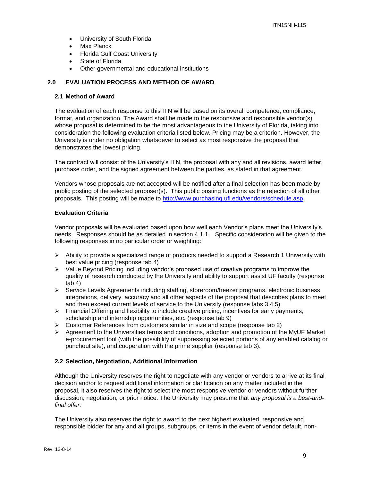- University of South Florida
- Max Planck
- Florida Gulf Coast University
- State of Florida
- Other governmental and educational institutions

#### **2.0 EVALUATION PROCESS AND METHOD OF AWARD**

#### **2.1 Method of Award**

The evaluation of each response to this ITN will be based on its overall competence, compliance, format, and organization. The Award shall be made to the responsive and responsible vendor(s) whose proposal is determined to be the most advantageous to the University of Florida, taking into consideration the following evaluation criteria listed below. Pricing may be a criterion. However, the University is under no obligation whatsoever to select as most responsive the proposal that demonstrates the lowest pricing.

The contract will consist of the University's ITN, the proposal with any and all revisions, award letter, purchase order, and the signed agreement between the parties, as stated in that agreement.

Vendors whose proposals are not accepted will be notified after a final selection has been made by public posting of the selected proposer(s). This public posting functions as the rejection of all other proposals. This posting will be made to [http://www.purchasing.ufl.edu/vendors/schedule.asp.](http://www.purchasing.ufl.edu/vendors/schedule.asp)

#### **Evaluation Criteria**

Vendor proposals will be evaluated based upon how well each Vendor's plans meet the University's needs. Responses should be as detailed in section 4.1.1. Specific consideration will be given to the following responses in no particular order or weighting:

- $\triangleright$  Ability to provide a specialized range of products needed to support a Research 1 University with best value pricing (response tab 4)
- $\triangleright$  Value Beyond Pricing including vendor's proposed use of creative programs to improve the quality of research conducted by the University and ability to support assist UF faculty (response tab 4)
- $\triangleright$  Service Levels Agreements including staffing, storeroom/freezer programs, electronic business integrations, delivery, accuracy and all other aspects of the proposal that describes plans to meet and then exceed current levels of service to the University (response tabs 3,4,5)
- $\triangleright$  Financial Offering and flexibility to include creative pricing, incentives for early payments, scholarship and internship opportunities, etc. (response tab 9)
- $\triangleright$  Customer References from customers similar in size and scope (response tab 2)
- $\triangleright$  Agreement to the Universities terms and conditions, adoption and promotion of the MyUF Market e-procurement tool (with the possibility of suppressing selected portions of any enabled catalog or punchout site), and cooperation with the prime supplier (response tab 3).

#### **2.2 Selection, Negotiation, Additional Information**

Although the University reserves the right to negotiate with any vendor or vendors to arrive at its final decision and/or to request additional information or clarification on any matter included in the proposal, it also reserves the right to select the most responsive vendor or vendors without further discussion, negotiation, or prior notice. The University may presume that *any proposal is a best-andfinal offer.*

The University also reserves the right to award to the next highest evaluated, responsive and responsible bidder for any and all groups, subgroups, or items in the event of vendor default, non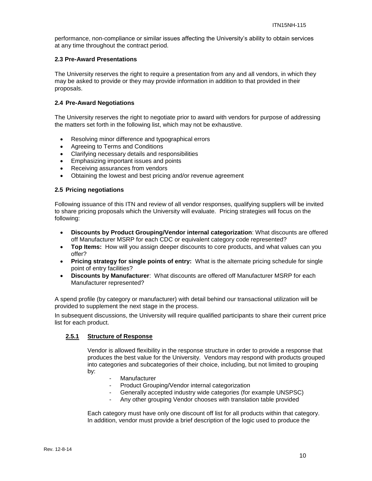performance, non-compliance or similar issues affecting the University's ability to obtain services at any time throughout the contract period.

# **2.3 Pre-Award Presentations**

The University reserves the right to require a presentation from any and all vendors, in which they may be asked to provide or they may provide information in addition to that provided in their proposals.

#### **2.4 Pre-Award Negotiations**

The University reserves the right to negotiate prior to award with vendors for purpose of addressing the matters set forth in the following list, which may not be exhaustive.

- Resolving minor difference and typographical errors
- Agreeing to Terms and Conditions
- Clarifying necessary details and responsibilities
- Emphasizing important issues and points
- Receiving assurances from vendors
- Obtaining the lowest and best pricing and/or revenue agreement

# **2.5 Pricing negotiations**

Following issuance of this ITN and review of all vendor responses, qualifying suppliers will be invited to share pricing proposals which the University will evaluate. Pricing strategies will focus on the following:

- **Discounts by Product Grouping/Vendor internal categorization**: What discounts are offered off Manufacturer MSRP for each CDC or equivalent category code represented?
- **Top Items:** How will you assign deeper discounts to core products, and what values can you offer?
- **Pricing strategy for single points of entry:** What is the alternate pricing schedule for single point of entry facilities?
- **Discounts by Manufacturer**: What discounts are offered off Manufacturer MSRP for each Manufacturer represented?

A spend profile (by category or manufacturer) with detail behind our transactional utilization will be provided to supplement the next stage in the process.

In subsequent discussions, the University will require qualified participants to share their current price list for each product.

# **2.5.1 Structure of Response**

Vendor is allowed flexibility in the response structure in order to provide a response that produces the best value for the University. Vendors may respond with products grouped into categories and subcategories of their choice, including, but not limited to grouping by:

- **Manufacturer**
- Product Grouping/Vendor internal categorization
- Generally accepted industry wide categories (for example UNSPSC)
- Any other grouping Vendor chooses with translation table provided

Each category must have only one discount off list for all products within that category. In addition, vendor must provide a brief description of the logic used to produce the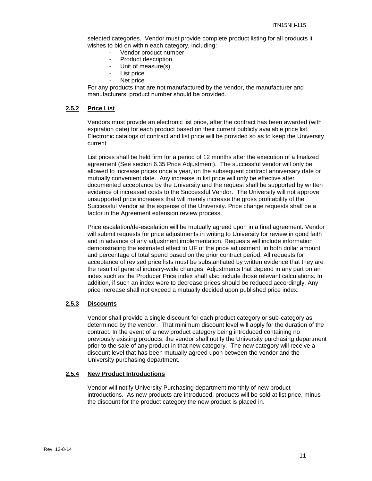selected categories. Vendor must provide complete product listing for all products it wishes to bid on within each category, including:

- Vendor product number
- Product description
- Unit of measure(s)
- List price
- Net price

For any products that are not manufactured by the vendor, the manufacturer and manufacturers' product number should be provided.

#### **2.5.2 Price List**

Vendors must provide an electronic list price, after the contract has been awarded (with expiration date) for each product based on their current publicly available price list. Electronic catalogs of contract and list price will be provided so as to keep the University current.

List prices shall be held firm for a period of 12 months after the execution of a finalized agreement (See section 6.35 Price Adjustment). The successful vendor will only be allowed to increase prices once a year, on the subsequent contract anniversary date or mutually convenient date. Any increase in list price will only be effective after documented acceptance by the University and the request shall be supported by written evidence of increased costs to the Successful Vendor. The University will not approve unsupported price increases that will merely increase the gross profitability of the Successful Vendor at the expense of the University. Price change requests shall be a factor in the Agreement extension review process.

Price escalation/de-escalation will be mutually agreed upon in a final agreement. Vendor will submit requests for price adjustments in writing to University for review in good faith and in advance of any adjustment implementation. Requests will include information demonstrating the estimated effect to UF of the price adjustment, in both dollar amount and percentage of total spend based on the prior contract period. All requests for acceptance of revised price lists must be substantiated by written evidence that they are the result of general industry-wide changes. Adjustments that depend in any part on an index such as the Producer Price index shall also include those relevant calculations. In addition, if such an index were to decrease prices should be reduced accordingly. Any price increase shall not exceed a mutually decided upon published price index.

# **2.5.3 Discounts**

Vendor shall provide a single discount for each product category or sub-category as determined by the vendor. That minimum discount level will apply for the duration of the contract. In the event of a new product category being introduced containing no previously existing products, the vendor shall notify the University purchasing department prior to the sale of any product in that new category. The new category will receive a discount level that has been mutually agreed upon between the vendor and the University purchasing department.

#### **2.5.4 New Product Introductions**

Vendor will notify University Purchasing department monthly of new product introductions. As new products are introduced, products will be sold at list price, minus the discount for the product category the new product is placed in.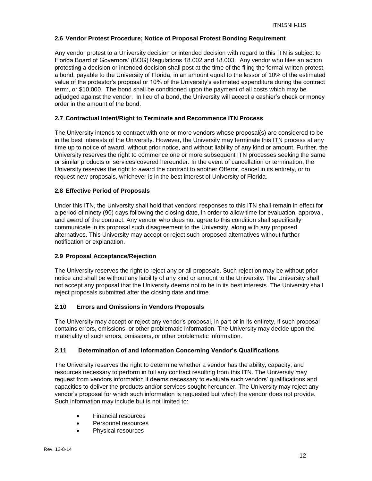#### **2.6 Vendor Protest Procedure; Notice of Proposal Protest Bonding Requirement**

Any vendor protest to a University decision or intended decision with regard to this ITN is subject to Florida Board of Governors' (BOG) Regulations 18.002 and 18.003. Any vendor who files an action protesting a decision or intended decision shall post at the time of the filing the formal written protest, a bond, payable to the University of Florida, in an amount equal to the lessor of 10% of the estimated value of the protestor's proposal or 10% of the University's estimated expenditure during the contract term:, or \$10,000. The bond shall be conditioned upon the payment of all costs which may be adjudged against the vendor. In lieu of a bond, the University will accept a cashier's check or money order in the amount of the bond.

# **2.7 Contractual Intent/Right to Terminate and Recommence ITN Process**

The University intends to contract with one or more vendors whose proposal(s) are considered to be in the best interests of the University. However, the University may terminate this ITN process at any time up to notice of award, without prior notice, and without liability of any kind or amount. Further, the University reserves the right to commence one or more subsequent ITN processes seeking the same or similar products or services covered hereunder. In the event of cancellation or termination, the University reserves the right to award the contract to another Offeror, cancel in its entirety, or to request new proposals, whichever is in the best interest of University of Florida.

# **2.8 Effective Period of Proposals**

Under this ITN, the University shall hold that vendors' responses to this ITN shall remain in effect for a period of ninety (90) days following the closing date, in order to allow time for evaluation, approval, and award of the contract. Any vendor who does not agree to this condition shall specifically communicate in its proposal such disagreement to the University, along with any proposed alternatives. This University may accept or reject such proposed alternatives without further notification or explanation.

#### **2.9 Proposal Acceptance/Rejection**

The University reserves the right to reject any or all proposals. Such rejection may be without prior notice and shall be without any liability of any kind or amount to the University. The University shall not accept any proposal that the University deems not to be in its best interests. The University shall reject proposals submitted after the closing date and time.

#### **2.10 Errors and Omissions in Vendors Proposals**

The University may accept or reject any vendor's proposal, in part or in its entirety, if such proposal contains errors, omissions, or other problematic information. The University may decide upon the materiality of such errors, omissions, or other problematic information.

#### **2.11 Determination of and Information Concerning Vendor's Qualifications**

The University reserves the right to determine whether a vendor has the ability, capacity, and resources necessary to perform in full any contract resulting from this ITN. The University may request from vendors information it deems necessary to evaluate such vendors' qualifications and capacities to deliver the products and/or services sought hereunder. The University may reject any vendor's proposal for which such information is requested but which the vendor does not provide. Such information may include but is not limited to:

- Financial resources
- Personnel resources
- Physical resources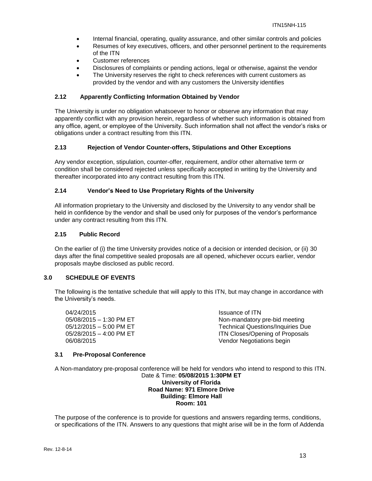- Internal financial, operating, quality assurance, and other similar controls and policies
- Resumes of key executives, officers, and other personnel pertinent to the requirements of the ITN
- Customer references
- Disclosures of complaints or pending actions, legal or otherwise, against the vendor
- The University reserves the right to check references with current customers as provided by the vendor and with any customers the University identifies

# **2.12 Apparently Conflicting Information Obtained by Vendor**

The University is under no obligation whatsoever to honor or observe any information that may apparently conflict with any provision herein, regardless of whether such information is obtained from any office, agent, or employee of the University. Such information shall not affect the vendor's risks or obligations under a contract resulting from this ITN.

# **2.13 Rejection of Vendor Counter-offers, Stipulations and Other Exceptions**

Any vendor exception, stipulation, counter-offer, requirement, and/or other alternative term or condition shall be considered rejected unless specifically accepted in writing by the University and thereafter incorporated into any contract resulting from this ITN.

# **2.14 Vendor's Need to Use Proprietary Rights of the University**

All information proprietary to the University and disclosed by the University to any vendor shall be held in confidence by the vendor and shall be used only for purposes of the vendor's performance under any contract resulting from this ITN.

# **2.15 Public Record**

On the earlier of (i) the time University provides notice of a decision or intended decision, or (ii) 30 days after the final competitive sealed proposals are all opened, whichever occurs earlier, vendor proposals maybe disclosed as public record.

#### **3.0 SCHEDULE OF EVENTS**

The following is the tentative schedule that will apply to this ITN, but may change in accordance with the University's needs.

04/24/2015 Issuance of ITN

05/08/2015 – 1:30 PM ET Non-mandatory pre-bid meeting 05/12/2015 – 5:00 PM ET Technical Questions/Inquiries Due 05/28/2015 – 4:00 PM ET **ITN Closes/Opening of Proposals** 06/08/2015 Vendor Negotiations begin

#### **3.1 Pre-Proposal Conference**

A Non-mandatory pre-proposal conference will be held for vendors who intend to respond to this ITN. Date & Time: **05/08/2015 1:30PM ET University of Florida Road Name: 971 Elmore Drive Building: Elmore Hall Room: 101**

The purpose of the conference is to provide for questions and answers regarding terms, conditions, or specifications of the ITN. Answers to any questions that might arise will be in the form of Addenda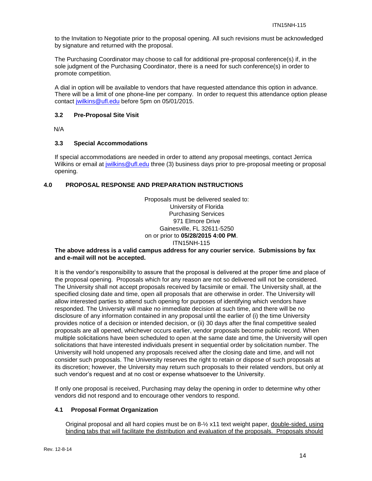to the Invitation to Negotiate prior to the proposal opening. All such revisions must be acknowledged by signature and returned with the proposal.

The Purchasing Coordinator may choose to call for additional pre-proposal conference(s) if, in the sole judgment of the Purchasing Coordinator, there is a need for such conference(s) in order to promote competition.

A dial in option will be available to vendors that have requested attendance this option in advance. There will be a limit of one phone-line per company. In order to request this attendance option please contact [jwilkins@ufl.edu](mailto:spenny@ufl.edu) before 5pm on 05/01/2015.

#### **3.2 Pre-Proposal Site Visit**

N/A

# **3.3 Special Accommodations**

If special accommodations are needed in order to attend any proposal meetings, contact Jerrica Wilkins or email at [jwilkins@ufl.edu](mailto:nheredia@ufl.edu) three (3) business days prior to pre-proposal meeting or proposal opening.

# **4.0 PROPOSAL RESPONSE AND PREPARATION INSTRUCTIONS**

Proposals must be delivered sealed to: University of Florida Purchasing Services 971 Elmore Drive Gainesville, FL 32611-5250 on or prior to **05/28/2015 4:00 PM**. ITN15NH-115

#### **The above address is a valid campus address for any courier service. Submissions by fax and e-mail will not be accepted.**

It is the vendor's responsibility to assure that the proposal is delivered at the proper time and place of the proposal opening. Proposals which for any reason are not so delivered will not be considered. The University shall not accept proposals received by facsimile or email. The University shall, at the specified closing date and time, open all proposals that are otherwise in order. The University will allow interested parties to attend such opening for purposes of identifying which vendors have responded. The University will make no immediate decision at such time, and there will be no disclosure of any information contained in any proposal until the earlier of (i) the time University provides notice of a decision or intended decision, or (ii) 30 days after the final competitive sealed proposals are all opened, whichever occurs earlier, vendor proposals become public record. When multiple solicitations have been scheduled to open at the same date and time, the University will open solicitations that have interested individuals present in sequential order by solicitation number. The University will hold unopened any proposals received after the closing date and time, and will not consider such proposals. The University reserves the right to retain or dispose of such proposals at its discretion; however, the University may return such proposals to their related vendors, but only at such vendor's request and at no cost or expense whatsoever to the University.

If only one proposal is received, Purchasing may delay the opening in order to determine why other vendors did not respond and to encourage other vendors to respond.

# **4.1 Proposal Format Organization**

Original proposal and all hard copies must be on 8-½ x11 text weight paper, double-sided, using binding tabs that will facilitate the distribution and evaluation of the proposals. Proposals should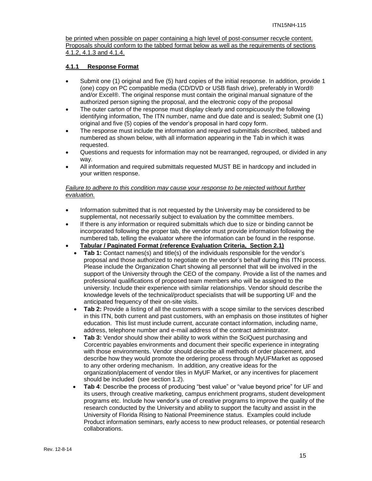be printed when possible on paper containing a high level of post-consumer recycle content. Proposals should conform to the tabbed format below as well as the requirements of sections 4.1.2, 4.1.3 and 4.1.4.

# **4.1.1 Response Format**

- Submit one (1) original and five (5) hard copies of the initial response. In addition, provide 1 (one) copy on PC compatible media (CD/DVD or USB flash drive), preferably in Word® and/or Excel®. The original response must contain the original manual signature of the authorized person signing the proposal, and the electronic copy of the proposal
- The outer carton of the response must display clearly and conspicuously the following identifying information, The ITN number, name and due date and is sealed; Submit one (1) original and five (5) copies of the vendor's proposal in hard copy form.
- The response must include the information and required submittals described, tabbed and numbered as shown below, with all information appearing in the Tab in which it was requested.
- Questions and requests for information may not be rearranged, regrouped, or divided in any way.
- All information and required submittals requested MUST BE in hardcopy and included in your written response.

#### *Failure to adhere to this condition may cause your response to be rejected without further evaluation.*

- Information submitted that is not requested by the University may be considered to be supplemental, not necessarily subject to evaluation by the committee members.
- If there is any information or required submittals which due to size or binding cannot be incorporated following the proper tab, the vendor must provide information following the numbered tab, telling the evaluator where the information can be found in the response.
- **Tabular / Paginated Format (reference Evaluation Criteria, Section 2.1)**
	- **Tab 1:** Contact names(s) and title(s) of the individuals responsible for the vendor's proposal and those authorized to negotiate on the vendor's behalf during this ITN process. Please include the Organization Chart showing all personnel that will be involved in the support of the University through the CEO of the company. Provide a list of the names and professional qualifications of proposed team members who will be assigned to the university. Include their experience with similar relationships. Vendor should describe the knowledge levels of the technical/product specialists that will be supporting UF and the anticipated frequency of their on-site visits.
	- **Tab 2:** Provide a listing of all the customers with a scope similar to the services described in this ITN, both current and past customers, with an emphasis on those institutes of higher education. This list must include current, accurate contact information, including name, address, telephone number and e-mail address of the contract administrator.
	- **Tab 3:** Vendor should show their ability to work within the SciQuest purchasing and Corcentric payables environments and document their specific experience in integrating with those environments. Vendor should describe all methods of order placement, and describe how they would promote the ordering process through MyUFMarket as opposed to any other ordering mechanism. In addition, any creative ideas for the organization/placement of vendor tiles in MyUF Market, or any incentives for placement should be included (see section 1.2).
	- **Tab 4**: Describe the process of producing "best value" or "value beyond price" for UF and its users, through creative marketing, campus enrichment programs, student development programs etc. Include how vendor's use of creative programs to improve the quality of the research conducted by the University and ability to support the faculty and assist in the University of Florida Rising to National Preeminence status. Examples could include Product information seminars, early access to new product releases, or potential research collaborations.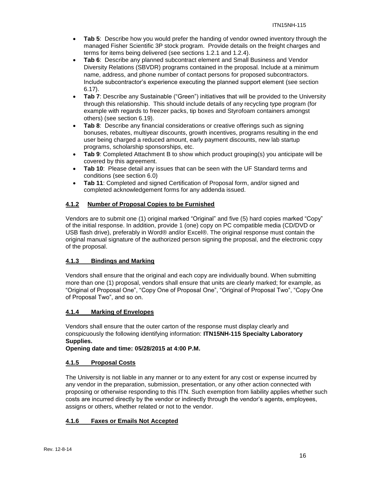- **Tab 5**: Describe how you would prefer the handing of vendor owned inventory through the managed Fisher Scientific 3P stock program. Provide details on the freight charges and terms for items being delivered (see sections 1.2.1 and 1.2.4).
- **Tab 6**: Describe any planned subcontract element and Small Business and Vendor Diversity Relations (SBVDR) programs contained in the proposal. Include at a minimum name, address, and phone number of contact persons for proposed subcontractors. Include subcontractor's experience executing the planned support element (see section 6.17).
- **Tab 7**: Describe any Sustainable ("Green") initiatives that will be provided to the University through this relationship. This should include details of any recycling type program (for example with regards to freezer packs, tip boxes and Styrofoam containers amongst others) (see section 6.19).
- **Tab 8**: Describe any financial considerations or creative offerings such as signing bonuses, rebates, multiyear discounts, growth incentives, programs resulting in the end user being charged a reduced amount, early payment discounts, new lab startup programs, scholarship sponsorships, etc.
- **Tab 9**: Completed Attachment B to show which product grouping(s) you anticipate will be covered by this agreement.
- **Tab 10**: Please detail any issues that can be seen with the UF Standard terms and conditions (see section 6.0)
- **Tab 11**: Completed and signed Certification of Proposal form, and/or signed and completed acknowledgement forms for any addenda issued.

# **4.1.2 Number of Proposal Copies to be Furnished**

Vendors are to submit one (1) original marked "Original" and five (5) hard copies marked "Copy" of the initial response. In addition, provide 1 (one) copy on PC compatible media (CD/DVD or USB flash drive), preferably in Word® and/or Excel®. The original response must contain the original manual signature of the authorized person signing the proposal, and the electronic copy of the proposal.

# **4.1.3 Bindings and Marking**

Vendors shall ensure that the original and each copy are individually bound. When submitting more than one (1) proposal, vendors shall ensure that units are clearly marked; for example, as "Original of Proposal One", "Copy One of Proposal One", "Original of Proposal Two", "Copy One of Proposal Two", and so on.

# **4.1.4 Marking of Envelopes**

Vendors shall ensure that the outer carton of the response must display clearly and conspicuously the following identifying information: **ITN15NH-115 Specialty Laboratory Supplies.**

**Opening date and time: 05/28/2015 at 4:00 P.M.**

# **4.1.5 Proposal Costs**

The University is not liable in any manner or to any extent for any cost or expense incurred by any vendor in the preparation, submission, presentation, or any other action connected with proposing or otherwise responding to this ITN. Such exemption from liability applies whether such costs are incurred directly by the vendor or indirectly through the vendor's agents, employees, assigns or others, whether related or not to the vendor.

# **4.1.6 Faxes or Emails Not Accepted**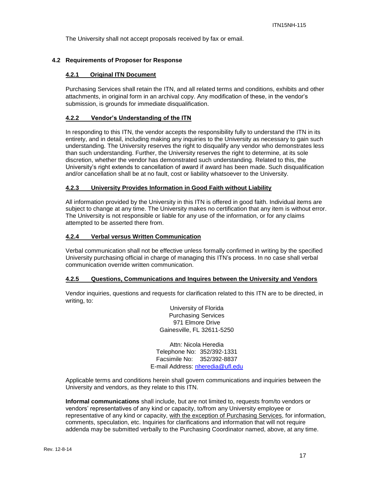The University shall not accept proposals received by fax or email.

# **4.2 Requirements of Proposer for Response**

#### **4.2.1 Original ITN Document**

Purchasing Services shall retain the ITN, and all related terms and conditions, exhibits and other attachments, in original form in an archival copy. Any modification of these, in the vendor's submission, is grounds for immediate disqualification.

#### **4.2.2 Vendor's Understanding of the ITN**

In responding to this ITN, the vendor accepts the responsibility fully to understand the ITN in its entirety, and in detail, including making any inquiries to the University as necessary to gain such understanding. The University reserves the right to disqualify any vendor who demonstrates less than such understanding. Further, the University reserves the right to determine, at its sole discretion, whether the vendor has demonstrated such understanding. Related to this, the University's right extends to cancellation of award if award has been made. Such disqualification and/or cancellation shall be at no fault, cost or liability whatsoever to the University.

#### **4.2.3 University Provides Information in Good Faith without Liability**

All information provided by the University in this ITN is offered in good faith. Individual items are subject to change at any time. The University makes no certification that any item is without error. The University is not responsible or liable for any use of the information, or for any claims attempted to be asserted there from.

#### **4.2.4 Verbal versus Written Communication**

Verbal communication shall not be effective unless formally confirmed in writing by the specified University purchasing official in charge of managing this ITN's process. In no case shall verbal communication override written communication.

#### **4.2.5 Questions, Communications and Inquires between the University and Vendors**

Vendor inquiries, questions and requests for clarification related to this ITN are to be directed, in writing, to:

> University of Florida Purchasing Services 971 Elmore Drive Gainesville, FL 32611-5250

Attn: Nicola Heredia Telephone No: 352/392-1331 Facsimile No: 352/392-8837 E-mail Address: [nheredia@ufl.edu](mailto:nheredia@ufl.edu)

Applicable terms and conditions herein shall govern communications and inquiries between the University and vendors, as they relate to this ITN.

**Informal communications** shall include, but are not limited to, requests from/to vendors or vendors' representatives of any kind or capacity, to/from any University employee or representative of any kind or capacity, with the exception of Purchasing Services, for information, comments, speculation, etc. Inquiries for clarifications and information that will not require addenda may be submitted verbally to the Purchasing Coordinator named, above, at any time.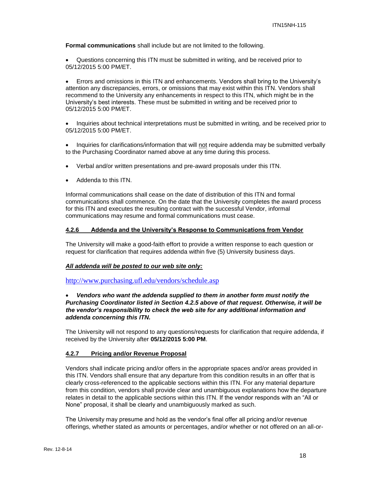**Formal communications** shall include but are not limited to the following.

 Questions concerning this ITN must be submitted in writing, and be received prior to 05/12/2015 5:00 PM/ET.

 Errors and omissions in this ITN and enhancements. Vendors shall bring to the University's attention any discrepancies, errors, or omissions that may exist within this ITN. Vendors shall recommend to the University any enhancements in respect to this ITN, which might be in the University's best interests. These must be submitted in writing and be received prior to 05/12/2015 5:00 PM/ET.

 Inquiries about technical interpretations must be submitted in writing, and be received prior to 05/12/2015 5:00 PM/ET.

• Inquiries for clarifications/information that will not require addenda may be submitted verbally to the Purchasing Coordinator named above at any time during this process.

- Verbal and/or written presentations and pre-award proposals under this ITN.
- Addenda to this ITN.

Informal communications shall cease on the date of distribution of this ITN and formal communications shall commence. On the date that the University completes the award process for this ITN and executes the resulting contract with the successful Vendor, informal communications may resume and formal communications must cease.

#### **4.2.6 Addenda and the University's Response to Communications from Vendor**

The University will make a good-faith effort to provide a written response to each question or request for clarification that requires addenda within five (5) University business days.

#### *All addenda will be posted to our web site only:*

<http://www.purchasing.ufl.edu/vendors/schedule.asp>

#### *Vendors who want the addenda supplied to them in another form must notify the Purchasing Coordinator listed in Section 4.2.5 above of that request. Otherwise, it will be the vendor's responsibility to check the web site for any additional information and addenda concerning this ITN.*

The University will not respond to any questions/requests for clarification that require addenda, if received by the University after **05/12/2015 5:00 PM**.

#### **4.2.7 Pricing and/or Revenue Proposal**

Vendors shall indicate pricing and/or offers in the appropriate spaces and/or areas provided in this ITN. Vendors shall ensure that any departure from this condition results in an offer that is clearly cross-referenced to the applicable sections within this ITN. For any material departure from this condition, vendors shall provide clear and unambiguous explanations how the departure relates in detail to the applicable sections within this ITN. If the vendor responds with an "All or None" proposal, it shall be clearly and unambiguously marked as such.

The University may presume and hold as the vendor's final offer all pricing and/or revenue offerings, whether stated as amounts or percentages, and/or whether or not offered on an all-or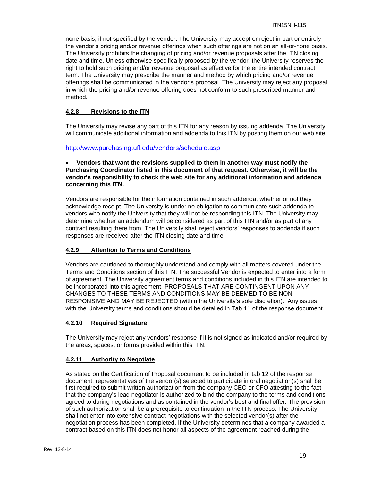none basis, if not specified by the vendor. The University may accept or reject in part or entirely the vendor's pricing and/or revenue offerings when such offerings are not on an all-or-none basis. The University prohibits the changing of pricing and/or revenue proposals after the ITN closing date and time. Unless otherwise specifically proposed by the vendor, the University reserves the right to hold such pricing and/or revenue proposal as effective for the entire intended contract term. The University may prescribe the manner and method by which pricing and/or revenue offerings shall be communicated in the vendor's proposal. The University may reject any proposal in which the pricing and/or revenue offering does not conform to such prescribed manner and method.

# **4.2.8 Revisions to the ITN**

The University may revise any part of this ITN for any reason by issuing addenda. The University will communicate additional information and addenda to this ITN by posting them on our web site.

# <http://www.purchasing.ufl.edu/vendors/schedule.asp>

#### **Vendors that want the revisions supplied to them in another way must notify the Purchasing Coordinator listed in this document of that request. Otherwise, it will be the vendor's responsibility to check the web site for any additional information and addenda concerning this ITN.**

Vendors are responsible for the information contained in such addenda, whether or not they acknowledge receipt. The University is under no obligation to communicate such addenda to vendors who notify the University that they will not be responding this ITN. The University may determine whether an addendum will be considered as part of this ITN and/or as part of any contract resulting there from. The University shall reject vendors' responses to addenda if such responses are received after the ITN closing date and time.

# **4.2.9 Attention to Terms and Conditions**

Vendors are cautioned to thoroughly understand and comply with all matters covered under the Terms and Conditions section of this ITN. The successful Vendor is expected to enter into a form of agreement. The University agreement terms and conditions included in this ITN are intended to be incorporated into this agreement. PROPOSALS THAT ARE CONTINGENT UPON ANY CHANGES TO THESE TERMS AND CONDITIONS MAY BE DEEMED TO BE NON-RESPONSIVE AND MAY BE REJECTED (within the University's sole discretion). Any issues with the University terms and conditions should be detailed in Tab 11 of the response document.

#### **4.2.10 Required Signature**

The University may reject any vendors' response if it is not signed as indicated and/or required by the areas, spaces, or forms provided within this ITN.

#### **4.2.11 Authority to Negotiate**

As stated on the Certification of Proposal document to be included in tab 12 of the response document, representatives of the vendor(s) selected to participate in oral negotiation(s) shall be first required to submit written authorization from the company CEO or CFO attesting to the fact that the company's lead negotiator is authorized to bind the company to the terms and conditions agreed to during negotiations and as contained in the vendor's best and final offer. The provision of such authorization shall be a prerequisite to continuation in the ITN process. The University shall not enter into extensive contract negotiations with the selected vendor(s) after the negotiation process has been completed. If the University determines that a company awarded a contract based on this ITN does not honor all aspects of the agreement reached during the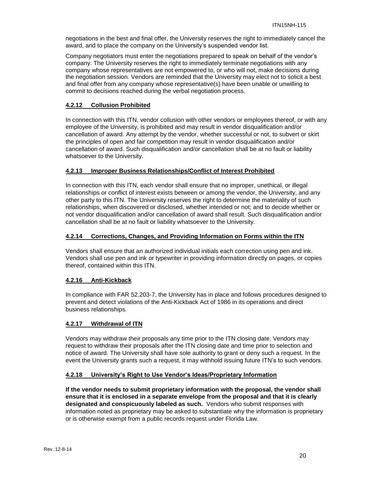negotiations in the best and final offer, the University reserves the right to immediately cancel the award, and to place the company on the University's suspended vendor list.

Company negotiators must enter the negotiations prepared to speak on behalf of the vendor's company. The University reserves the right to immediately terminate negotiations with any company whose representatives are not empowered to, or who will not, make decisions during the negotiation session. Vendors are reminded that the University may elect not to solicit a best and final offer from any company whose representative(s) have been unable or unwilling to commit to decisions reached during the verbal negotiation process.

# **4.2.12 Collusion Prohibited**

In connection with this ITN, vendor collusion with other vendors or employees thereof, or with any employee of the University, is prohibited and may result in vendor disqualification and/or cancellation of award. Any attempt by the vendor, whether successful or not, to subvert or skirt the principles of open and fair competition may result in vendor disqualification and/or cancellation of award. Such disqualification and/or cancellation shall be at no fault or liability whatsoever to the University.

# **4.2.13 Improper Business Relationships/Conflict of Interest Prohibited**

In connection with this ITN, each vendor shall ensure that no improper, unethical, or illegal relationships or conflict of interest exists between or among the vendor, the University, and any other party to this ITN. The University reserves the right to determine the materiality of such relationships, when discovered or disclosed, whether intended or not; and to decide whether or not vendor disqualification and/or cancellation of award shall result. Such disqualification and/or cancellation shall be at no fault or liability whatsoever to the University.

# **4.2.14 Corrections, Changes, and Providing Information on Forms within the ITN**

Vendors shall ensure that an authorized individual initials each correction using pen and ink. Vendors shall use pen and ink or typewriter in providing information directly on pages, or copies thereof, contained within this ITN.

# **4.2.16 Anti-Kickback**

In compliance with FAR 52.203-7, the University has in place and follows procedures designed to prevent and detect violations of the Anti-Kickback Act of 1986 in its operations and direct business relationships.

# **4.2.17 Withdrawal of ITN**

Vendors may withdraw their proposals any time prior to the ITN closing date. Vendors may request to withdraw their proposals after the ITN closing date and time prior to selection and notice of award. The University shall have sole authority to grant or deny such a request. In the event the University grants such a request, it may withhold issuing future ITN's to such vendors.

#### **4.2.18 University's Right to Use Vendor's Ideas/Proprietary Information**

**If the vendor needs to submit proprietary information with the proposal, the vendor shall ensure that it is enclosed in a separate envelope from the proposal and that it is clearly designated and conspicuously labeled as such.** Vendors who submit responses with information noted as proprietary may be asked to substantiate why the information is proprietary or is otherwise exempt from a public records request under Florida Law.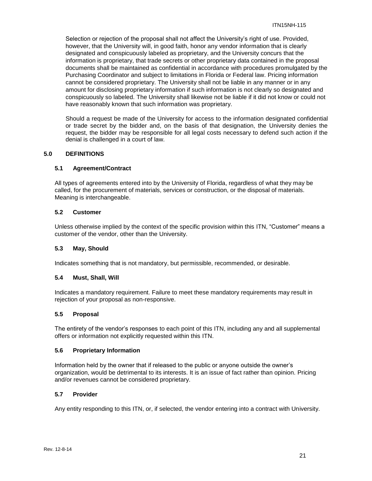Selection or rejection of the proposal shall not affect the University's right of use. Provided, however, that the University will, in good faith, honor any vendor information that is clearly designated and conspicuously labeled as proprietary, and the University concurs that the information is proprietary, that trade secrets or other proprietary data contained in the proposal documents shall be maintained as confidential in accordance with procedures promulgated by the Purchasing Coordinator and subject to limitations in Florida or Federal law. Pricing information cannot be considered proprietary. The University shall not be liable in any manner or in any amount for disclosing proprietary information if such information is not clearly so designated and conspicuously so labeled. The University shall likewise not be liable if it did not know or could not have reasonably known that such information was proprietary.

Should a request be made of the University for access to the information designated confidential or trade secret by the bidder and, on the basis of that designation, the University denies the request, the bidder may be responsible for all legal costs necessary to defend such action if the denial is challenged in a court of law.

#### **5.0 DEFINITIONS**

#### **5.1 Agreement/Contract**

All types of agreements entered into by the University of Florida, regardless of what they may be called, for the procurement of materials, services or construction, or the disposal of materials. Meaning is interchangeable.

#### **5.2 Customer**

Unless otherwise implied by the context of the specific provision within this ITN, "Customer" means a customer of the vendor, other than the University.

#### **5.3 May, Should**

Indicates something that is not mandatory, but permissible, recommended, or desirable.

#### **5.4 Must, Shall, Will**

Indicates a mandatory requirement. Failure to meet these mandatory requirements may result in rejection of your proposal as non-responsive.

# **5.5 Proposal**

The entirety of the vendor's responses to each point of this ITN, including any and all supplemental offers or information not explicitly requested within this ITN.

#### **5.6 Proprietary Information**

Information held by the owner that if released to the public or anyone outside the owner's organization, would be detrimental to its interests. It is an issue of fact rather than opinion. Pricing and/or revenues cannot be considered proprietary.

# **5.7 Provider**

Any entity responding to this ITN, or, if selected, the vendor entering into a contract with University.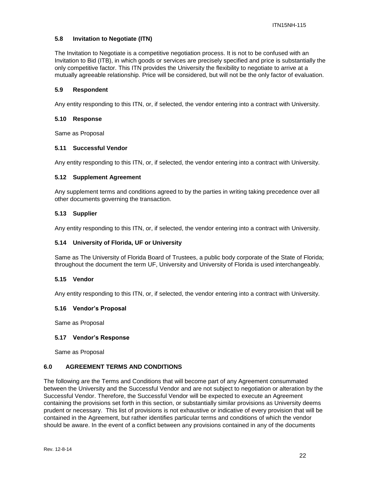# **5.8 Invitation to Negotiate (ITN)**

The Invitation to Negotiate is a competitive negotiation process. It is not to be confused with an Invitation to Bid (ITB), in which goods or services are precisely specified and price is substantially the only competitive factor. This ITN provides the University the flexibility to negotiate to arrive at a mutually agreeable relationship. Price will be considered, but will not be the only factor of evaluation.

#### **5.9 Respondent**

Any entity responding to this ITN, or, if selected, the vendor entering into a contract with University.

# **5.10 Response**

Same as Proposal

#### **5.11 Successful Vendor**

Any entity responding to this ITN, or, if selected, the vendor entering into a contract with University.

#### **5.12 Supplement Agreement**

Any supplement terms and conditions agreed to by the parties in writing taking precedence over all other documents governing the transaction.

#### **5.13 Supplier**

Any entity responding to this ITN, or, if selected, the vendor entering into a contract with University.

#### **5.14 University of Florida, UF or University**

Same as The University of Florida Board of Trustees, a public body corporate of the State of Florida; throughout the document the term UF, University and University of Florida is used interchangeably.

#### **5.15 Vendor**

Any entity responding to this ITN, or, if selected, the vendor entering into a contract with University.

#### **5.16 Vendor's Proposal**

Same as Proposal

#### **5.17 Vendor's Response**

Same as Proposal

#### **6.0 AGREEMENT TERMS AND CONDITIONS**

The following are the Terms and Conditions that will become part of any Agreement consummated between the University and the Successful Vendor and are not subject to negotiation or alteration by the Successful Vendor. Therefore, the Successful Vendor will be expected to execute an Agreement containing the provisions set forth in this section, or substantially similar provisions as University deems prudent or necessary. This list of provisions is not exhaustive or indicative of every provision that will be contained in the Agreement, but rather identifies particular terms and conditions of which the vendor should be aware. In the event of a conflict between any provisions contained in any of the documents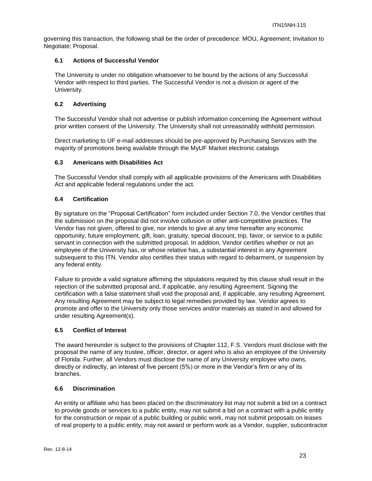governing this transaction, the following shall be the order of precedence: MOU, Agreement; Invitation to Negotiate; Proposal.

# **6.1 Actions of Successful Vendor**

The University is under no obligation whatsoever to be bound by the actions of any Successful Vendor with respect to third parties. The Successful Vendor is not a division or agent of the University.

# **6.2 Advertising**

The Successful Vendor shall not advertise or publish information concerning the Agreement without prior written consent of the University. The University shall not unreasonably withhold permission.

Direct marketing to UF e-mail addresses should be pre-approved by Purchasing Services with the majority of promotions being available through the MyUF Market electronic catalogs

# **6.3 Americans with Disabilities Act**

The Successful Vendor shall comply with all applicable provisions of the Americans with Disabilities Act and applicable federal regulations under the act.

# **6.4 Certification**

By signature on the "Proposal Certification" form included under Section 7.0, the Vendor certifies that the submission on the proposal did not involve collusion or other anti-competitive practices. The Vendor has not given, offered to give, nor intends to give at any time hereafter any economic opportunity, future employment, gift, loan, gratuity, special discount, trip, favor, or service to a public servant in connection with the submitted proposal. In addition, Vendor certifies whether or not an employee of the University has, or whose relative has, a substantial interest in any Agreement subsequent to this ITN. Vendor also certifies their status with regard to debarment, or suspension by any federal entity.

Failure to provide a valid signature affirming the stipulations required by this clause shall result in the rejection of the submitted proposal and, if applicable, any resulting Agreement. Signing the certification with a false statement shall void the proposal and, if applicable, any resulting Agreement. Any resulting Agreement may be subject to legal remedies provided by law. Vendor agrees to promote and offer to the University only those services and/or materials as stated in and allowed for under resulting Agreement(s).

#### **6.5 Conflict of Interest**

The award hereunder is subject to the provisions of Chapter 112, F.S. Vendors must disclose with the proposal the name of any trustee, officer, director, or agent who is also an employee of the University of Florida. Further, all Vendors must disclose the name of any University employee who owns, directly or indirectly, an interest of five percent (5%) or more in the Vendor's firm or any of its branches.

# **6.6 Discrimination**

An entity or affiliate who has been placed on the discriminatory list may not submit a bid on a contract to provide goods or services to a public entity, may not submit a bid on a contract with a public entity for the construction or repair of a public building or public work, may not submit proposals on leases of real property to a public entity, may not award or perform work as a Vendor, supplier, subcontractor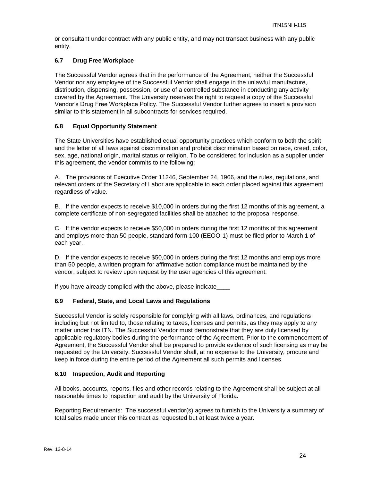or consultant under contract with any public entity, and may not transact business with any public entity.

# **6.7 Drug Free Workplace**

The Successful Vendor agrees that in the performance of the Agreement, neither the Successful Vendor nor any employee of the Successful Vendor shall engage in the unlawful manufacture, distribution, dispensing, possession, or use of a controlled substance in conducting any activity covered by the Agreement. The University reserves the right to request a copy of the Successful Vendor's Drug Free Workplace Policy. The Successful Vendor further agrees to insert a provision similar to this statement in all subcontracts for services required.

# **6.8 Equal Opportunity Statement**

The State Universities have established equal opportunity practices which conform to both the spirit and the letter of all laws against discrimination and prohibit discrimination based on race, creed, color, sex, age, national origin, marital status or religion. To be considered for inclusion as a supplier under this agreement, the vendor commits to the following:

A. The provisions of Executive Order 11246, September 24, 1966, and the rules, regulations, and relevant orders of the Secretary of Labor are applicable to each order placed against this agreement regardless of value.

B. If the vendor expects to receive \$10,000 in orders during the first 12 months of this agreement, a complete certificate of non-segregated facilities shall be attached to the proposal response.

C. If the vendor expects to receive \$50,000 in orders during the first 12 months of this agreement and employs more than 50 people, standard form 100 (EEOO-1) must be filed prior to March 1 of each year.

D. If the vendor expects to receive \$50,000 in orders during the first 12 months and employs more than 50 people, a written program for affirmative action compliance must be maintained by the vendor, subject to review upon request by the user agencies of this agreement.

If you have already complied with the above, please indicate

# **6.9 Federal, State, and Local Laws and Regulations**

Successful Vendor is solely responsible for complying with all laws, ordinances, and regulations including but not limited to, those relating to taxes, licenses and permits, as they may apply to any matter under this ITN. The Successful Vendor must demonstrate that they are duly licensed by applicable regulatory bodies during the performance of the Agreement. Prior to the commencement of Agreement, the Successful Vendor shall be prepared to provide evidence of such licensing as may be requested by the University. Successful Vendor shall, at no expense to the University, procure and keep in force during the entire period of the Agreement all such permits and licenses.

#### **6.10 Inspection, Audit and Reporting**

All books, accounts, reports, files and other records relating to the Agreement shall be subject at all reasonable times to inspection and audit by the University of Florida.

Reporting Requirements: The successful vendor(s) agrees to furnish to the University a summary of total sales made under this contract as requested but at least twice a year.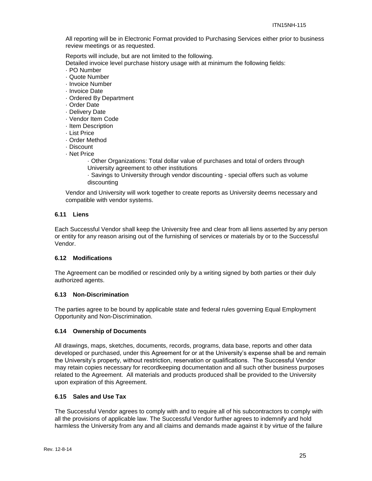All reporting will be in Electronic Format provided to Purchasing Services either prior to business review meetings or as requested.

Reports will include, but are not limited to the following.

Detailed invoice level purchase history usage with at minimum the following fields:

- · PO Number
- · Quote Number
- · Invoice Number
- · Invoice Date
- · Ordered By Department
- · Order Date
- · Delivery Date
- · Vendor Item Code
- · Item Description
- · List Price
- · Order Method
- · Discount
- · Net Price
	- · Other Organizations: Total dollar value of purchases and total of orders through University agreement to other institutions
	- · Savings to University through vendor discounting special offers such as volume discounting

Vendor and University will work together to create reports as University deems necessary and compatible with vendor systems.

# **6.11 Liens**

Each Successful Vendor shall keep the University free and clear from all liens asserted by any person or entity for any reason arising out of the furnishing of services or materials by or to the Successful Vendor.

#### **6.12 Modifications**

The Agreement can be modified or rescinded only by a writing signed by both parties or their duly authorized agents.

#### **6.13 Non-Discrimination**

The parties agree to be bound by applicable state and federal rules governing Equal Employment Opportunity and Non-Discrimination.

#### **6.14 Ownership of Documents**

All drawings, maps, sketches, documents, records, programs, data base, reports and other data developed or purchased, under this Agreement for or at the University's expense shall be and remain the University's property, without restriction, reservation or qualifications. The Successful Vendor may retain copies necessary for recordkeeping documentation and all such other business purposes related to the Agreement. All materials and products produced shall be provided to the University upon expiration of this Agreement.

#### **6.15 Sales and Use Tax**

The Successful Vendor agrees to comply with and to require all of his subcontractors to comply with all the provisions of applicable law. The Successful Vendor further agrees to indemnify and hold harmless the University from any and all claims and demands made against it by virtue of the failure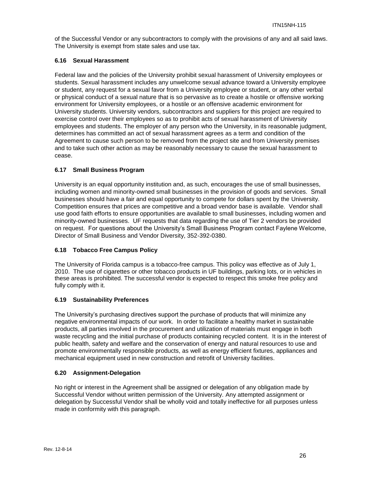of the Successful Vendor or any subcontractors to comply with the provisions of any and all said laws. The University is exempt from state sales and use tax.

# **6.16 Sexual Harassment**

Federal law and the policies of the University prohibit sexual harassment of University employees or students. Sexual harassment includes any unwelcome sexual advance toward a University employee or student, any request for a sexual favor from a University employee or student, or any other verbal or physical conduct of a sexual nature that is so pervasive as to create a hostile or offensive working environment for University employees, or a hostile or an offensive academic environment for University students. University vendors, subcontractors and suppliers for this project are required to exercise control over their employees so as to prohibit acts of sexual harassment of University employees and students. The employer of any person who the University, in its reasonable judgment, determines has committed an act of sexual harassment agrees as a term and condition of the Agreement to cause such person to be removed from the project site and from University premises and to take such other action as may be reasonably necessary to cause the sexual harassment to cease.

# **6.17 Small Business Program**

University is an equal opportunity institution and, as such, encourages the use of small businesses, including women and minority-owned small businesses in the provision of goods and services. Small businesses should have a fair and equal opportunity to compete for dollars spent by the University. Competition ensures that prices are competitive and a broad vendor base is available. Vendor shall use good faith efforts to ensure opportunities are available to small businesses, including women and minority-owned businesses. UF requests that data regarding the use of Tier 2 vendors be provided on request. For questions about the University's Small Business Program contact Faylene Welcome, Director of Small Business and Vendor Diversity, 352-392-0380.

# **6.18 Tobacco Free Campus Policy**

The University of Florida campus is a tobacco-free campus. This policy was effective as of July 1, 2010. The use of cigarettes or other tobacco products in UF buildings, parking lots, or in vehicles in these areas is prohibited. The successful vendor is expected to respect this smoke free policy and fully comply with it.

# **6.19 Sustainability Preferences**

The University's purchasing directives support the purchase of products that will minimize any negative environmental impacts of our work. In order to facilitate a healthy market in sustainable products, all parties involved in the procurement and utilization of materials must engage in both waste recycling and the initial purchase of products containing recycled content. It is in the interest of public health, safety and welfare and the conservation of energy and natural resources to use and promote environmentally responsible products, as well as energy efficient fixtures, appliances and mechanical equipment used in new construction and retrofit of University facilities.

# **6.20 Assignment-Delegation**

No right or interest in the Agreement shall be assigned or delegation of any obligation made by Successful Vendor without written permission of the University. Any attempted assignment or delegation by Successful Vendor shall be wholly void and totally ineffective for all purposes unless made in conformity with this paragraph.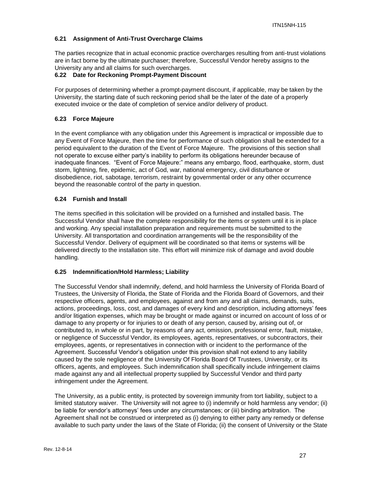# **6.21 Assignment of Anti-Trust Overcharge Claims**

The parties recognize that in actual economic practice overcharges resulting from anti-trust violations are in fact borne by the ultimate purchaser; therefore, Successful Vendor hereby assigns to the University any and all claims for such overcharges.

# **6.22 Date for Reckoning Prompt-Payment Discount**

For purposes of determining whether a prompt-payment discount, if applicable, may be taken by the University, the starting date of such reckoning period shall be the later of the date of a properly executed invoice or the date of completion of service and/or delivery of product.

# **6.23 Force Majeure**

In the event compliance with any obligation under this Agreement is impractical or impossible due to any Event of Force Majeure, then the time for performance of such obligation shall be extended for a period equivalent to the duration of the Event of Force Majeure. The provisions of this section shall not operate to excuse either party's inability to perform its obligations hereunder because of inadequate finances. "Event of Force Majeure:" means any embargo, flood, earthquake, storm, dust storm, lightning, fire, epidemic, act of God, war, national emergency, civil disturbance or disobedience, riot, sabotage, terrorism, restraint by governmental order or any other occurrence beyond the reasonable control of the party in question.

# **6.24 Furnish and Install**

The items specified in this solicitation will be provided on a furnished and installed basis. The Successful Vendor shall have the complete responsibility for the items or system until it is in place and working. Any special installation preparation and requirements must be submitted to the University. All transportation and coordination arrangements will be the responsibility of the Successful Vendor. Delivery of equipment will be coordinated so that items or systems will be delivered directly to the installation site. This effort will minimize risk of damage and avoid double handling.

#### **6.25 Indemnification/Hold Harmless; Liability**

The Successful Vendor shall indemnify, defend, and hold harmless the University of Florida Board of Trustees, the University of Florida, the State of Florida and the Florida Board of Governors, and their respective officers, agents, and employees, against and from any and all claims, demands, suits, actions, proceedings, loss, cost, and damages of every kind and description, including attorneys' fees and/or litigation expenses, which may be brought or made against or incurred on account of loss of or damage to any property or for injuries to or death of any person, caused by, arising out of, or contributed to, in whole or in part, by reasons of any act, omission, professional error, fault, mistake, or negligence of Successful Vendor, its employees, agents, representatives, or subcontractors, their employees, agents, or representatives in connection with or incident to the performance of the Agreement. Successful Vendor's obligation under this provision shall not extend to any liability caused by the sole negligence of the University Of Florida Board Of Trustees, University, or its officers, agents, and employees. Such indemnification shall specifically include infringement claims made against any and all intellectual property supplied by Successful Vendor and third party infringement under the Agreement.

The University, as a public entity, is protected by sovereign immunity from tort liability, subject to a limited statutory waiver. The University will not agree to (i) indemnify or hold harmless any vendor; (ii) be liable for vendor's attorneys' fees under any circumstances; or (iii) binding arbitration. The Agreement shall not be construed or interpreted as (i) denying to either party any remedy or defense available to such party under the laws of the State of Florida; (ii) the consent of University or the State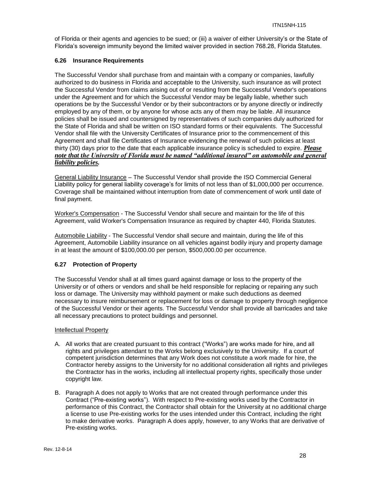of Florida or their agents and agencies to be sued; or (iii) a waiver of either University's or the State of Florida's sovereign immunity beyond the limited waiver provided in section 768.28, Florida Statutes.

# **6.26 Insurance Requirements**

The Successful Vendor shall purchase from and maintain with a company or companies, lawfully authorized to do business in Florida and acceptable to the University, such insurance as will protect the Successful Vendor from claims arising out of or resulting from the Successful Vendor's operations under the Agreement and for which the Successful Vendor may be legally liable, whether such operations be by the Successful Vendor or by their subcontractors or by anyone directly or indirectly employed by any of them, or by anyone for whose acts any of them may be liable. All insurance policies shall be issued and countersigned by representatives of such companies duly authorized for the State of Florida and shall be written on ISO standard forms or their equivalents. The Successful Vendor shall file with the University Certificates of Insurance prior to the commencement of this Agreement and shall file Certificates of Insurance evidencing the renewal of such policies at least thirty (30) days prior to the date that each applicable insurance policy is scheduled to expire. *Please note that the University of Florida must be named "additional insured" on automobile and general liability policies.*

General Liability Insurance – The Successful Vendor shall provide the ISO Commercial General Liability policy for general liability coverage's for limits of not less than of \$1,000,000 per occurrence. Coverage shall be maintained without interruption from date of commencement of work until date of final payment.

Worker's Compensation - The Successful Vendor shall secure and maintain for the life of this Agreement, valid Worker's Compensation Insurance as required by chapter 440, Florida Statutes.

Automobile Liability - The Successful Vendor shall secure and maintain, during the life of this Agreement, Automobile Liability insurance on all vehicles against bodily injury and property damage in at least the amount of \$100,000.00 per person, \$500,000.00 per occurrence.

# **6.27 Protection of Property**

The Successful Vendor shall at all times guard against damage or loss to the property of the University or of others or vendors and shall be held responsible for replacing or repairing any such loss or damage. The University may withhold payment or make such deductions as deemed necessary to insure reimbursement or replacement for loss or damage to property through negligence of the Successful Vendor or their agents. The Successful Vendor shall provide all barricades and take all necessary precautions to protect buildings and personnel.

#### Intellectual Property

- A. All works that are created pursuant to this contract ("Works") are works made for hire, and all rights and privileges attendant to the Works belong exclusively to the University. If a court of competent jurisdiction determines that any Work does not constitute a work made for hire, the Contractor hereby assigns to the University for no additional consideration all rights and privileges the Contractor has in the works, including all intellectual property rights, specifically those under copyright law.
- B. Paragraph A does not apply to Works that are not created through performance under this Contract ("Pre-existing works"). With respect to Pre-existing works used by the Contractor in performance of this Contract, the Contractor shall obtain for the University at no additional charge a license to use Pre-existing works for the uses intended under this Contract, including the right to make derivative works. Paragraph A does apply, however, to any Works that are derivative of Pre-existing works.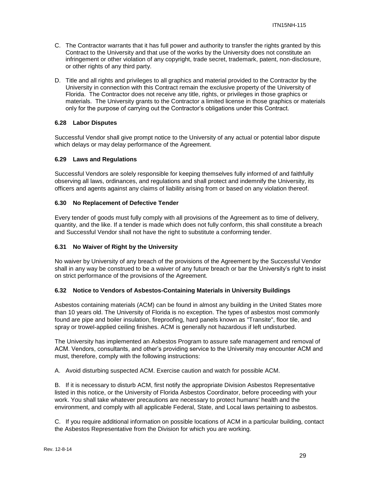- C. The Contractor warrants that it has full power and authority to transfer the rights granted by this Contract to the University and that use of the works by the University does not constitute an infringement or other violation of any copyright, trade secret, trademark, patent, non-disclosure, or other rights of any third party.
- D. Title and all rights and privileges to all graphics and material provided to the Contractor by the University in connection with this Contract remain the exclusive property of the University of Florida. The Contractor does not receive any title, rights, or privileges in those graphics or materials. The University grants to the Contractor a limited license in those graphics or materials only for the purpose of carrying out the Contractor's obligations under this Contract.

# **6.28 Labor Disputes**

Successful Vendor shall give prompt notice to the University of any actual or potential labor dispute which delays or may delay performance of the Agreement.

#### **6.29 Laws and Regulations**

Successful Vendors are solely responsible for keeping themselves fully informed of and faithfully observing all laws, ordinances, and regulations and shall protect and indemnify the University, its officers and agents against any claims of liability arising from or based on any violation thereof.

#### **6.30 No Replacement of Defective Tender**

Every tender of goods must fully comply with all provisions of the Agreement as to time of delivery, quantity, and the like. If a tender is made which does not fully conform, this shall constitute a breach and Successful Vendor shall not have the right to substitute a conforming tender.

#### **6.31 No Waiver of Right by the University**

No waiver by University of any breach of the provisions of the Agreement by the Successful Vendor shall in any way be construed to be a waiver of any future breach or bar the University's right to insist on strict performance of the provisions of the Agreement.

# **6.32 Notice to Vendors of Asbestos-Containing Materials in University Buildings**

Asbestos containing materials (ACM) can be found in almost any building in the United States more than 10 years old. The University of Florida is no exception. The types of asbestos most commonly found are pipe and boiler insulation, fireproofing, hard panels known as "Transite", floor tile, and spray or trowel-applied ceiling finishes. ACM is generally not hazardous if left undisturbed.

The University has implemented an Asbestos Program to assure safe management and removal of ACM. Vendors, consultants, and other's providing service to the University may encounter ACM and must, therefore, comply with the following instructions:

A. Avoid disturbing suspected ACM. Exercise caution and watch for possible ACM.

B. If it is necessary to disturb ACM, first notify the appropriate Division Asbestos Representative listed in this notice, or the University of Florida Asbestos Coordinator, before proceeding with your work. You shall take whatever precautions are necessary to protect humans' health and the environment, and comply with all applicable Federal, State, and Local laws pertaining to asbestos.

C. If you require additional information on possible locations of ACM in a particular building, contact the Asbestos Representative from the Division for which you are working.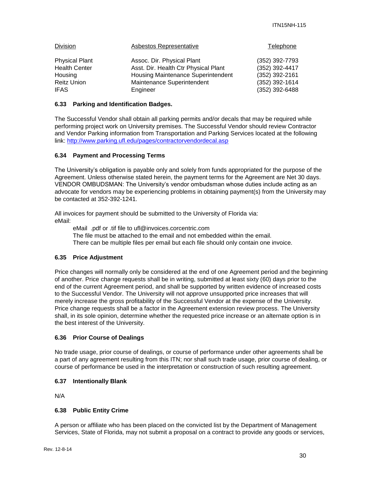| Division              | Asbestos Representative                   | Telephone      |
|-----------------------|-------------------------------------------|----------------|
| <b>Physical Plant</b> | Assoc. Dir. Physical Plant                | (352) 392-7793 |
| <b>Health Center</b>  | Asst. Dir. Health Ctr Physical Plant      | (352) 392-4417 |
| Housing               | <b>Housing Maintenance Superintendent</b> | (352) 392-2161 |
| <b>Reitz Union</b>    | Maintenance Superintendent                | (352) 392-1614 |
| <b>IFAS</b>           | Engineer                                  | (352) 392-6488 |

#### **6.33 Parking and Identification Badges.**

The Successful Vendor shall obtain all parking permits and/or decals that may be required while performing project work on University premises. The Successful Vendor should review Contractor and Vendor Parking information from Transportation and Parking Services located at the following link:<http://www.parking.ufl.edu/pages/contractorvendordecal.asp>

#### **6.34 Payment and Processing Terms**

The University's obligation is payable only and solely from funds appropriated for the purpose of the Agreement. Unless otherwise stated herein, the payment terms for the Agreement are Net 30 days. VENDOR OMBUDSMAN: The University's vendor ombudsman whose duties include acting as an advocate for vendors may be experiencing problems in obtaining payment(s) from the University may be contacted at 352-392-1241.

All invoices for payment should be submitted to the University of Florida via: eMail:

eMail .pdf or .tif file to ufl@invoices.corcentric.com The file must be attached to the email and not embedded within the email. There can be multiple files per email but each file should only contain one invoice.

#### **6.35 Price Adjustment**

Price changes will normally only be considered at the end of one Agreement period and the beginning of another. Price change requests shall be in writing, submitted at least sixty (60) days prior to the end of the current Agreement period, and shall be supported by written evidence of increased costs to the Successful Vendor. The University will not approve unsupported price increases that will merely increase the gross profitability of the Successful Vendor at the expense of the University. Price change requests shall be a factor in the Agreement extension review process. The University shall, in its sole opinion, determine whether the requested price increase or an alternate option is in the best interest of the University.

#### **6.36 Prior Course of Dealings**

No trade usage, prior course of dealings, or course of performance under other agreements shall be a part of any agreement resulting from this ITN; nor shall such trade usage, prior course of dealing, or course of performance be used in the interpretation or construction of such resulting agreement.

#### **6.37 Intentionally Blank**

N/A

#### **6.38 Public Entity Crime**

A person or affiliate who has been placed on the convicted list by the Department of Management Services, State of Florida, may not submit a proposal on a contract to provide any goods or services,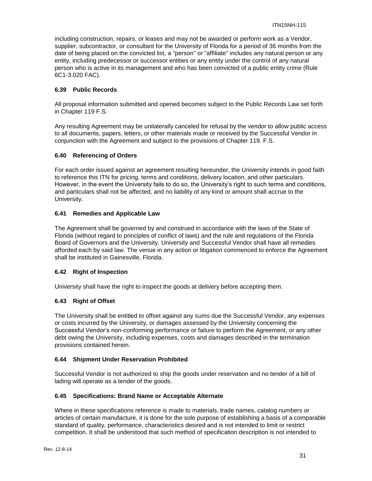including construction, repairs, or leases and may not be awarded or perform work as a Vendor, supplier, subcontractor, or consultant for the University of Florida for a period of 36 months from the date of being placed on the convicted list, a "person" or "affiliate" includes any natural person or any entity, including predecessor or successor entities or any entity under the control of any natural person who is active in its management and who has been convicted of a public entity crime (Rule 6C1-3.020 FAC).

# **6.39 Public Records**

All proposal information submitted and opened becomes subject to the Public Records Law set forth in Chapter 119 F.S.

Any resulting Agreement may be unilaterally canceled for refusal by the vendor to allow public access to all documents, papers, letters, or other materials made or received by the Successful Vendor in conjunction with the Agreement and subject to the provisions of Chapter 119. F.S.

# **6.40 Referencing of Orders**

For each order issued against an agreement resulting hereunder, the University intends in good faith to reference this ITN for pricing, terms and conditions, delivery location, and other particulars. However, in the event the University fails to do so, the University's right to such terms and conditions, and particulars shall not be affected, and no liability of any kind or amount shall accrue to the University.

# **6.41 Remedies and Applicable Law**

The Agreement shall be governed by and construed in accordance with the laws of the State of Florida (without regard to principles of conflict of laws) and the rule and regulations of the Florida Board of Governors and the University. University and Successful Vendor shall have all remedies afforded each by said law. The venue in any action or litigation commenced to enforce the Agreement shall be instituted in Gainesville, Florida.

# **6.42 Right of Inspection**

University shall have the right to inspect the goods at delivery before accepting them.

# **6.43 Right of Offset**

The University shall be entitled to offset against any sums due the Successful Vendor, any expenses or costs incurred by the University, or damages assessed by the University concerning the Successful Vendor's non-conforming performance or failure to perform the Agreement, or any other debt owing the University, including expenses, costs and damages described in the termination provisions contained herein.

#### **6.44 Shipment Under Reservation Prohibited**

Successful Vendor is not authorized to ship the goods under reservation and no tender of a bill of lading will operate as a tender of the goods.

#### **6.45 Specifications: Brand Name or Acceptable Alternate**

Where in these specifications reference is made to materials, trade names, catalog numbers or articles of certain manufacture, it is done for the sole purpose of establishing a basis of a comparable standard of quality, performance, characteristics desired and is not intended to limit or restrict competition. It shall be understood that such method of specification description is not intended to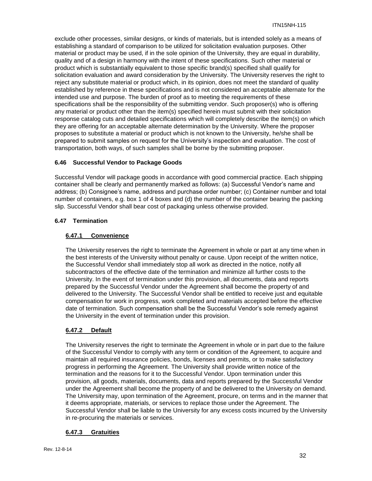exclude other processes, similar designs, or kinds of materials, but is intended solely as a means of establishing a standard of comparison to be utilized for solicitation evaluation purposes. Other material or product may be used, if in the sole opinion of the University, they are equal in durability, quality and of a design in harmony with the intent of these specifications. Such other material or product which is substantially equivalent to those specific brand(s) specified shall qualify for solicitation evaluation and award consideration by the University. The University reserves the right to reject any substitute material or product which, in its opinion, does not meet the standard of quality established by reference in these specifications and is not considered an acceptable alternate for the intended use and purpose. The burden of proof as to meeting the requirements of these specifications shall be the responsibility of the submitting vendor. Such proposer(s) who is offering any material or product other than the item(s) specified herein must submit with their solicitation response catalog cuts and detailed specifications which will completely describe the item(s) on which they are offering for an acceptable alternate determination by the University. Where the proposer proposes to substitute a material or product which is not known to the University, he/she shall be prepared to submit samples on request for the University's inspection and evaluation. The cost of transportation, both ways, of such samples shall be borne by the submitting proposer.

# **6.46 Successful Vendor to Package Goods**

Successful Vendor will package goods in accordance with good commercial practice. Each shipping container shall be clearly and permanently marked as follows: (a) Successful Vendor's name and address; (b) Consignee's name, address and purchase order number; (c) Container number and total number of containers, e.g. box 1 of 4 boxes and (d) the number of the container bearing the packing slip. Successful Vendor shall bear cost of packaging unless otherwise provided.

# **6.47 Termination**

# **6.47.1 Convenience**

The University reserves the right to terminate the Agreement in whole or part at any time when in the best interests of the University without penalty or cause. Upon receipt of the written notice, the Successful Vendor shall immediately stop all work as directed in the notice, notify all subcontractors of the effective date of the termination and minimize all further costs to the University. In the event of termination under this provision, all documents, data and reports prepared by the Successful Vendor under the Agreement shall become the property of and delivered to the University. The Successful Vendor shall be entitled to receive just and equitable compensation for work in progress, work completed and materials accepted before the effective date of termination. Such compensation shall be the Successful Vendor's sole remedy against the University in the event of termination under this provision.

# **6.47.2 Default**

The University reserves the right to terminate the Agreement in whole or in part due to the failure of the Successful Vendor to comply with any term or condition of the Agreement, to acquire and maintain all required insurance policies, bonds, licenses and permits, or to make satisfactory progress in performing the Agreement. The University shall provide written notice of the termination and the reasons for it to the Successful Vendor. Upon termination under this provision, all goods, materials, documents, data and reports prepared by the Successful Vendor under the Agreement shall become the property of and be delivered to the University on demand. The University may, upon termination of the Agreement, procure, on terms and in the manner that it deems appropriate, materials, or services to replace those under the Agreement. The Successful Vendor shall be liable to the University for any excess costs incurred by the University in re-procuring the materials or services.

# **6.47.3 Gratuities**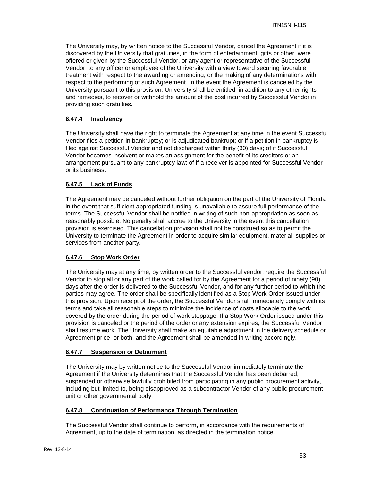The University may, by written notice to the Successful Vendor, cancel the Agreement if it is discovered by the University that gratuities, in the form of entertainment, gifts or other, were offered or given by the Successful Vendor, or any agent or representative of the Successful Vendor, to any officer or employee of the University with a view toward securing favorable treatment with respect to the awarding or amending, or the making of any determinations with respect to the performing of such Agreement. In the event the Agreement is canceled by the University pursuant to this provision, University shall be entitled, in addition to any other rights and remedies, to recover or withhold the amount of the cost incurred by Successful Vendor in providing such gratuities.

# **6.47.4 Insolvency**

The University shall have the right to terminate the Agreement at any time in the event Successful Vendor files a petition in bankruptcy; or is adjudicated bankrupt; or if a petition in bankruptcy is filed against Successful Vendor and not discharged within thirty (30) days; of if Successful Vendor becomes insolvent or makes an assignment for the benefit of its creditors or an arrangement pursuant to any bankruptcy law; of if a receiver is appointed for Successful Vendor or its business.

# **6.47.5 Lack of Funds**

The Agreement may be canceled without further obligation on the part of the University of Florida in the event that sufficient appropriated funding is unavailable to assure full performance of the terms. The Successful Vendor shall be notified in writing of such non-appropriation as soon as reasonably possible. No penalty shall accrue to the University in the event this cancellation provision is exercised. This cancellation provision shall not be construed so as to permit the University to terminate the Agreement in order to acquire similar equipment, material, supplies or services from another party.

#### **6.47.6 Stop Work Order**

The University may at any time, by written order to the Successful vendor, require the Successful Vendor to stop all or any part of the work called for by the Agreement for a period of ninety (90) days after the order is delivered to the Successful Vendor, and for any further period to which the parties may agree. The order shall be specifically identified as a Stop Work Order issued under this provision. Upon receipt of the order, the Successful Vendor shall immediately comply with its terms and take all reasonable steps to minimize the incidence of costs allocable to the work covered by the order during the period of work stoppage. If a Stop Work Order issued under this provision is canceled or the period of the order or any extension expires, the Successful Vendor shall resume work. The University shall make an equitable adjustment in the delivery schedule or Agreement price, or both, and the Agreement shall be amended in writing accordingly.

#### **6.47.7 Suspension or Debarment**

The University may by written notice to the Successful Vendor immediately terminate the Agreement if the University determines that the Successful Vendor has been debarred, suspended or otherwise lawfully prohibited from participating in any public procurement activity, including but limited to, being disapproved as a subcontractor Vendor of any public procurement unit or other governmental body.

#### **6.47.8 Continuation of Performance Through Termination**

The Successful Vendor shall continue to perform, in accordance with the requirements of Agreement, up to the date of termination, as directed in the termination notice.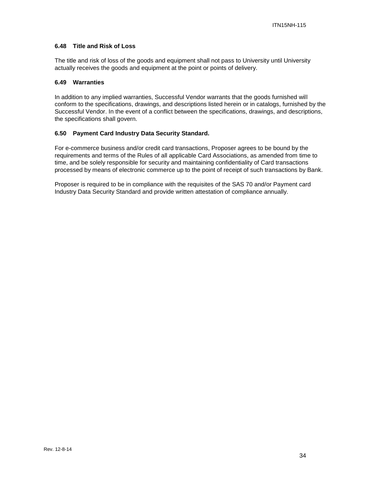# **6.48 Title and Risk of Loss**

The title and risk of loss of the goods and equipment shall not pass to University until University actually receives the goods and equipment at the point or points of delivery.

#### **6.49 Warranties**

In addition to any implied warranties, Successful Vendor warrants that the goods furnished will conform to the specifications, drawings, and descriptions listed herein or in catalogs, furnished by the Successful Vendor. In the event of a conflict between the specifications, drawings, and descriptions, the specifications shall govern.

# **6.50 Payment Card Industry Data Security Standard.**

For e-commerce business and/or credit card transactions, Proposer agrees to be bound by the requirements and terms of the Rules of all applicable Card Associations, as amended from time to time, and be solely responsible for security and maintaining confidentiality of Card transactions processed by means of electronic commerce up to the point of receipt of such transactions by Bank.

Proposer is required to be in compliance with the requisites of the SAS 70 and/or Payment card Industry Data Security Standard and provide written attestation of compliance annually.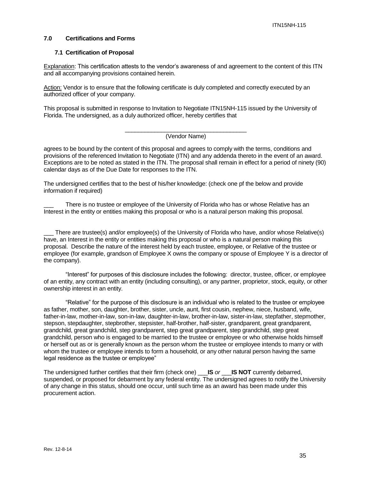### **7.0 Certifications and Forms**

#### **7.1 Certification of Proposal**

Explanation: This certification attests to the vendor's awareness of and agreement to the content of this ITN and all accompanying provisions contained herein.

Action: Vendor is to ensure that the following certificate is duly completed and correctly executed by an authorized officer of your company.

This proposal is submitted in response to Invitation to Negotiate ITN15NH-115 issued by the University of Florida. The undersigned, as a duly authorized officer, hereby certifies that

#### \_\_\_\_\_\_\_\_\_\_\_\_\_\_\_\_\_\_\_\_\_\_\_\_\_\_\_\_\_\_\_\_\_\_\_\_\_ (Vendor Name)

agrees to be bound by the content of this proposal and agrees to comply with the terms, conditions and provisions of the referenced Invitation to Negotiate (ITN) and any addenda thereto in the event of an award. Exceptions are to be noted as stated in the ITN. The proposal shall remain in effect for a period of ninety (90) calendar days as of the Due Date for responses to the ITN.

The undersigned certifies that to the best of his/her knowledge: (check one pf the below and provide information if required)

There is no trustee or employee of the University of Florida who has or whose Relative has an Interest in the entity or entities making this proposal or who is a natural person making this proposal.

There are trustee(s) and/or employee(s) of the University of Florida who have, and/or whose Relative(s) have, an Interest in the entity or entities making this proposal or who is a natural person making this proposal. Describe the nature of the interest held by each trustee, employee, or Relative of the trustee or employee (for example, grandson of Employee X owns the company or spouse of Employee Y is a director of the company).

"Interest" for purposes of this disclosure includes the following: director, trustee, officer, or employee of an entity, any contract with an entity (including consulting), or any partner, proprietor, stock, equity, or other ownership interest in an entity.

"Relative" for the purpose of this disclosure is an individual who is related to the trustee or employee as father, mother, son, daughter, brother, sister, uncle, aunt, first cousin, nephew, niece, husband, wife, father-in-law, mother-in-law, son-in-law, daughter-in-law, brother-in-law, sister-in-law, stepfather, stepmother, stepson, stepdaughter, stepbrother, stepsister, half-brother, half-sister, grandparent, great grandparent, grandchild, great grandchild, step grandparent, step great grandparent, step grandchild, step great grandchild, person who is engaged to be married to the trustee or employee or who otherwise holds himself or herself out as or is generally known as the person whom the trustee or employee intends to marry or with whom the trustee or employee intends to form a household, or any other natural person having the same legal residence as the trustee or employee"

The undersigned further certifies that their firm (check one) \_\_\_**IS** *or* \_\_\_**IS NOT** currently debarred, suspended, or proposed for debarment by any federal entity. The undersigned agrees to notify the University of any change in this status, should one occur, until such time as an award has been made under this procurement action.